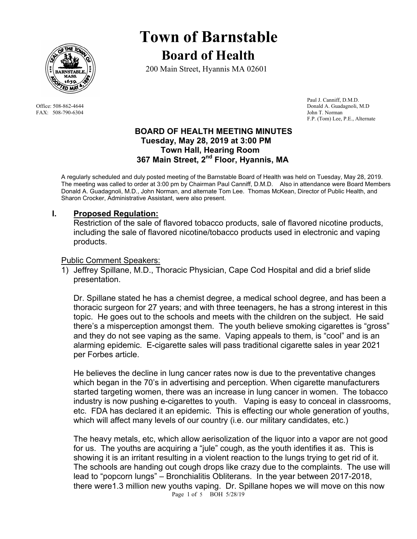

FAX: 508-790-6304 John T. Norman

# **Town of Barnstable Board of Health**

200 Main Street, Hyannis MA 02601

 Paul J. Canniff, D.M.D. Office: 508-862-4644 Donald A. Guadagnoli, M.D F.P. (Tom) Lee, P.E., Alternate

### **BOARD OF HEALTH MEETING MINUTES Tuesday, May 28, 2019 at 3:00 PM Town Hall, Hearing Room 367 Main Street, 2nd Floor, Hyannis, MA**

A regularly scheduled and duly posted meeting of the Barnstable Board of Health was held on Tuesday, May 28, 2019. The meeting was called to order at 3:00 pm by Chairman Paul Canniff, D.M.D. Also in attendance were Board Members Donald A. Guadagnoli, M.D., John Norman, and alternate Tom Lee. Thomas McKean, Director of Public Health, and Sharon Crocker, Administrative Assistant, were also present.

# **I. Proposed Regulation:**

Restriction of the sale of flavored tobacco products, sale of flavored nicotine products, including the sale of flavored nicotine/tobacco products used in electronic and vaping products.

## Public Comment Speakers:

1) Jeffrey Spillane, M.D., Thoracic Physician, Cape Cod Hospital and did a brief slide presentation.

Dr. Spillane stated he has a chemist degree, a medical school degree, and has been a thoracic surgeon for 27 years; and with three teenagers, he has a strong interest in this topic. He goes out to the schools and meets with the children on the subject. He said there's a misperception amongst them. The youth believe smoking cigarettes is "gross" and they do not see vaping as the same. Vaping appeals to them, is "cool" and is an alarming epidemic. E-cigarette sales will pass traditional cigarette sales in year 2021 per Forbes article.

He believes the decline in lung cancer rates now is due to the preventative changes which began in the 70's in advertising and perception. When cigarette manufacturers started targeting women, there was an increase in lung cancer in women. The tobacco industry is now pushing e-cigarettes to youth. Vaping is easy to conceal in classrooms, etc. FDA has declared it an epidemic. This is effecting our whole generation of youths, which will affect many levels of our country (i.e. our military candidates, etc.)

The heavy metals, etc, which allow aerisolization of the liquor into a vapor are not good for us. The youths are acquiring a "jule" cough, as the youth identifies it as. This is showing it is an irritant resulting in a violent reaction to the lungs trying to get rid of it. The schools are handing out cough drops like crazy due to the complaints. The use will lead to "popcorn lungs" – Bronchialitis Obliterans. In the year between 2017-2018, there were1.3 million new youths vaping. Dr. Spillane hopes we will move on this now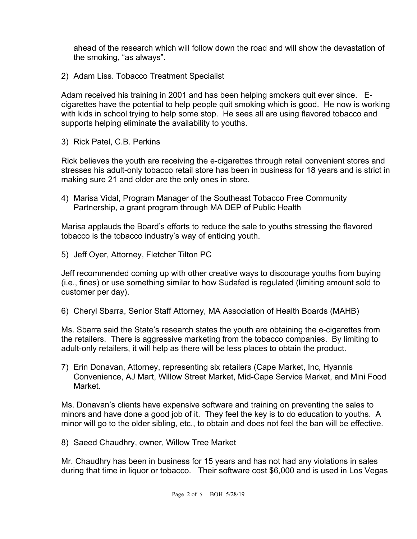ahead of the research which will follow down the road and will show the devastation of the smoking, "as always".

2) Adam Liss. Tobacco Treatment Specialist

Adam received his training in 2001 and has been helping smokers quit ever since. Ecigarettes have the potential to help people quit smoking which is good. He now is working with kids in school trying to help some stop. He sees all are using flavored tobacco and supports helping eliminate the availability to youths.

3) Rick Patel, C.B. Perkins

Rick believes the youth are receiving the e-cigarettes through retail convenient stores and stresses his adult-only tobacco retail store has been in business for 18 years and is strict in making sure 21 and older are the only ones in store.

4) Marisa Vidal, Program Manager of the Southeast Tobacco Free Community Partnership, a grant program through MA DEP of Public Health

Marisa applauds the Board's efforts to reduce the sale to youths stressing the flavored tobacco is the tobacco industry's way of enticing youth.

5) Jeff Oyer, Attorney, Fletcher Tilton PC

Jeff recommended coming up with other creative ways to discourage youths from buying (i.e., fines) or use something similar to how Sudafed is regulated (limiting amount sold to customer per day).

6) Cheryl Sbarra, Senior Staff Attorney, MA Association of Health Boards (MAHB)

Ms. Sbarra said the State's research states the youth are obtaining the e-cigarettes from the retailers. There is aggressive marketing from the tobacco companies. By limiting to adult-only retailers, it will help as there will be less places to obtain the product.

7) Erin Donavan, Attorney, representing six retailers (Cape Market, Inc, Hyannis Convenience, AJ Mart, Willow Street Market, Mid-Cape Service Market, and Mini Food Market.

Ms. Donavan's clients have expensive software and training on preventing the sales to minors and have done a good job of it. They feel the key is to do education to youths. A minor will go to the older sibling, etc., to obtain and does not feel the ban will be effective.

8) Saeed Chaudhry, owner, Willow Tree Market

Mr. Chaudhry has been in business for 15 years and has not had any violations in sales during that time in liquor or tobacco. Their software cost \$6,000 and is used in Los Vegas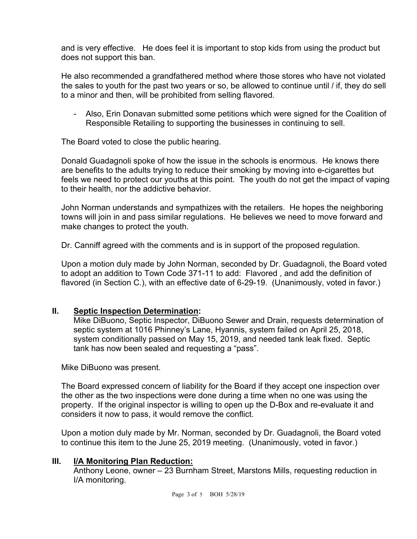and is very effective. He does feel it is important to stop kids from using the product but does not support this ban.

He also recommended a grandfathered method where those stores who have not violated the sales to youth for the past two years or so, be allowed to continue until / if, they do sell to a minor and then, will be prohibited from selling flavored.

- Also, Erin Donavan submitted some petitions which were signed for the Coalition of Responsible Retailing to supporting the businesses in continuing to sell.

The Board voted to close the public hearing.

Donald Guadagnoli spoke of how the issue in the schools is enormous. He knows there are benefits to the adults trying to reduce their smoking by moving into e-cigarettes but feels we need to protect our youths at this point. The youth do not get the impact of vaping to their health, nor the addictive behavior.

John Norman understands and sympathizes with the retailers. He hopes the neighboring towns will join in and pass similar regulations. He believes we need to move forward and make changes to protect the youth.

Dr. Canniff agreed with the comments and is in support of the proposed regulation.

Upon a motion duly made by John Norman, seconded by Dr. Guadagnoli, the Board voted to adopt an addition to Town Code 371-11 to add: Flavored , and add the definition of flavored (in Section C.), with an effective date of 6-29-19. (Unanimously, voted in favor.)

# **II. Septic Inspection Determination:**

Mike DiBuono, Septic Inspector, DiBuono Sewer and Drain, requests determination of septic system at 1016 Phinney's Lane, Hyannis, system failed on April 25, 2018, system conditionally passed on May 15, 2019, and needed tank leak fixed. Septic tank has now been sealed and requesting a "pass".

Mike DiBuono was present.

The Board expressed concern of liability for the Board if they accept one inspection over the other as the two inspections were done during a time when no one was using the property. If the original inspector is willing to open up the D-Box and re-evaluate it and considers it now to pass, it would remove the conflict.

Upon a motion duly made by Mr. Norman, seconded by Dr. Guadagnoli, the Board voted to continue this item to the June 25, 2019 meeting. (Unanimously, voted in favor.)

# **III. I/A Monitoring Plan Reduction:**

Anthony Leone, owner – 23 Burnham Street, Marstons Mills, requesting reduction in I/A monitoring.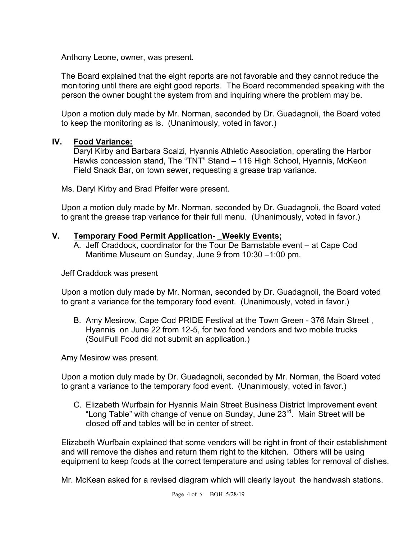Anthony Leone, owner, was present.

The Board explained that the eight reports are not favorable and they cannot reduce the monitoring until there are eight good reports. The Board recommended speaking with the person the owner bought the system from and inquiring where the problem may be.

Upon a motion duly made by Mr. Norman, seconded by Dr. Guadagnoli, the Board voted to keep the monitoring as is. (Unanimously, voted in favor.)

## **IV. Food Variance:**

Daryl Kirby and Barbara Scalzi, Hyannis Athletic Association, operating the Harbor Hawks concession stand, The "TNT" Stand – 116 High School, Hyannis, McKeon Field Snack Bar, on town sewer, requesting a grease trap variance.

Ms. Daryl Kirby and Brad Pfeifer were present.

Upon a motion duly made by Mr. Norman, seconded by Dr. Guadagnoli, the Board voted to grant the grease trap variance for their full menu. (Unanimously, voted in favor.)

## **V.** Temporary Food Permit Application- Weekly Events;

A. Jeff Craddock, coordinator for the Tour De Barnstable event – at Cape Cod Maritime Museum on Sunday, June 9 from 10:30 –1:00 pm.

Jeff Craddock was present

Upon a motion duly made by Mr. Norman, seconded by Dr. Guadagnoli, the Board voted to grant a variance for the temporary food event. (Unanimously, voted in favor.)

B. Amy Mesirow, Cape Cod PRIDE Festival at the Town Green - 376 Main Street , Hyannis on June 22 from 12-5, for two food vendors and two mobile trucks (SoulFull Food did not submit an application.)

Amy Mesirow was present.

Upon a motion duly made by Dr. Guadagnoli, seconded by Mr. Norman, the Board voted to grant a variance to the temporary food event. (Unanimously, voted in favor.)

C. Elizabeth Wurfbain for Hyannis Main Street Business District Improvement event "Long Table" with change of venue on Sunday, June 23<sup>rd</sup>. Main Street will be closed off and tables will be in center of street.

Elizabeth Wurfbain explained that some vendors will be right in front of their establishment and will remove the dishes and return them right to the kitchen. Others will be using equipment to keep foods at the correct temperature and using tables for removal of dishes.

Mr. McKean asked for a revised diagram which will clearly layout the handwash stations.